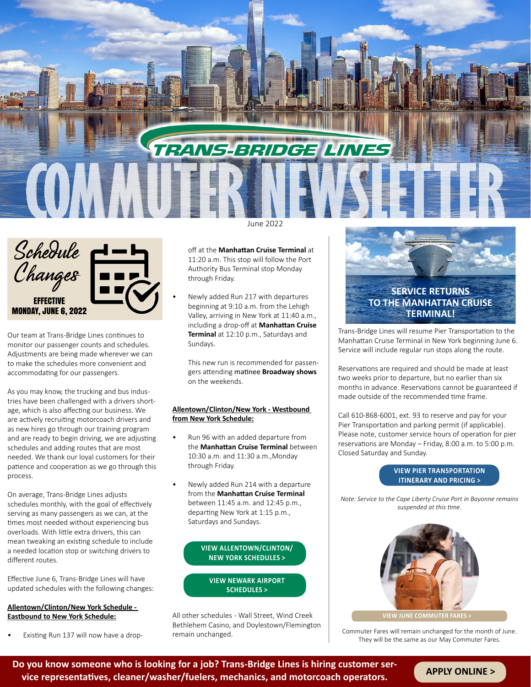



Our team at Trans-Bridge Lines continues to monitor our passenger counts and schedules. Adjustments are being made wherever we can to make the schedules more convenient and accommodating for our passengers.

As you may know, the trucking and bus industries have been challenged with a drivers shortage, which is also affecting our business. We are actively recruiting motorcoach drivers and as new hires go through our training program and are ready to begin driving, we are adjusting schedules and adding routes that are most needed. We thank our loyal customers for their patience and cooperation as we go through this process.

On average, Trans-Bridge Lines adjusts schedules monthly, with the goal of effectively serving as many passengers as we can, at the times most needed without experiencing bus overloads. With little extra drivers, this can mean tweaking an existing schedule to include a needed location stop or switching drivers to different routes.

Effective June 6, Trans-Bridge Lines will have updated schedules with the following changes:

#### **Allentown/Clinton/New York Schedule - Eastbound to New York Schedule:**

• Existing Run 137 will now have a drop-

off at the **Manhattan Cruise Terminal** at 11:20 a.m. This stop will follow the Port Authority Bus Terminal stop Monday through Friday.

• Newly added Run 217 with departures beginning at 9:10 a.m. from the Lehigh Valley, arriving in New York at 11:40 a.m., including a drop-off at **Manhattan Cruise Terminal** at 12:10 p.m., Saturdays and Sundays.

This new run is recommended for passengers attending matinee **Broadway shows** on the weekends.

#### **Allentown/Clinton/New York - Westbound from New York Schedule:**

- Run 96 with an added departure from the **Manhattan Cruise Terminal** between 10:30 a.m. and 11:30 a.m.,Monday through Friday.
- Newly added Run 214 with a departure from the **Manhattan Cruise Terminal** between 11:45 a.m. and 12:45 p.m., departing New York at 1:15 p.m., Saturdays and Sundays.

#### **[VIEW ALLENTOWN/CLINTON/](https://transbridgelines.com/allentown-clinton-new-york) [NEW YORK SCHEDULES >](https://transbridgelines.com/allentown-clinton-new-york)**

**[VIEW NEWARK AIRPORT](https://transbridgelines.com/airport-services) [SCHEDULES >](https://transbridgelines.com/airport-services)**

All other schedules - Wall Street, Wind Creek Bethlehem Casino, and Doylestown/Flemington remain unchanged.



Trans-Bridge Lines will resume Pier Transportation to the Manhattan Cruise Terminal in New York beginning June 6. Service will include regular run stops along the route.

Reservations are required and should be made at least two weeks prior to departure, but no earlier than six months in advance. Reservations cannot be guaranteed if made outside of the recommended time frame.

Call 610-868-6001, ext. 93 to reserve and pay for your Pier Transportation and parking permit (if applicable). Please note, customer service hours of operation for pier reservations are Monday – Friday, 8:00 a.m. to 5:00 p.m. Closed Saturday and Sunday.

#### **[VIEW PIER TRANSPORTATION](https://transbridgelines.com/wp-content/uploads/2022/05/Pier_Website_Manhattan-Cruise-Terminal_6-6-22.pdf) [ITINERARY AND PRICING >](https://transbridgelines.com/wp-content/uploads/2022/05/Pier_Website_Manhattan-Cruise-Terminal_6-6-22.pdf)**

*Note: Service to the Cape Liberty Cruise Port in Bayonne remains suspended at this time.*



**[VIEW JUNE COMMUTER FARES >](https://transbridgelines.com/wp-content/uploads/2022/05/2022Commuter_Fare_Effective_060122.pdf)**

Commuter Fares will remain unchanged for the month of June. They will be the same as our May Commuter Fares.

**Do you know someone who is looking for a job? Trans-Bridge Lines is hiring customer service representatives, cleaner/washer/fuelers, mechanics, and motorcoach operators. [APPLY ONLINE >](https://transbridgelines.isolvedhire.com/jobs/)**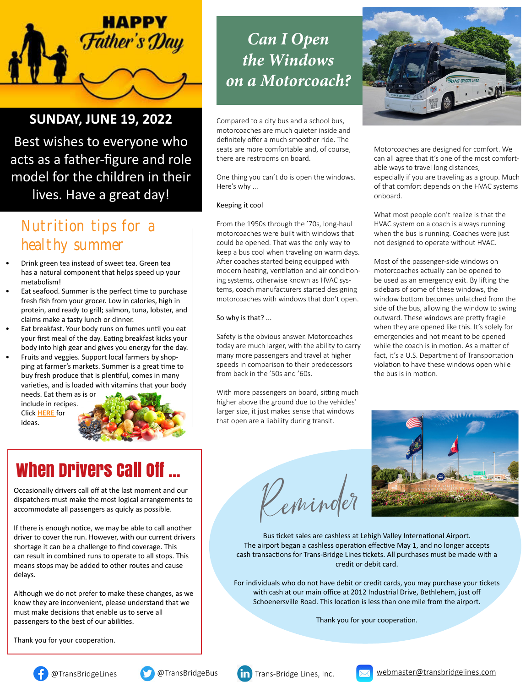

## **SUNDAY, JUNE 19, 2022**

Best wishes to everyone who acts as a father-figure and role model for the children in their lives. Have a great day!

## Nutrition tips for a healthy summer

- Drink green tea instead of sweet tea. Green tea has a natural component that helps speed up your metabolism!
- Eat seafood. Summer is the perfect time to purchase fresh fish from your grocer. Low in calories, high in protein, and ready to grill; salmon, tuna, lobster, and claims make a tasty lunch or dinner.
- Eat breakfast. Your body runs on fumes until you eat your first meal of the day. Eating breakfast kicks your body into high gear and gives you energy for the day.
- Fruits and veggies. Support local farmers by shopping at farmer's markets. Summer is a great time to buy fresh produce that is plentiful, comes in many varieties, and is loaded with vitamins that your body

include in recipes. Click **[HERE](https://www.feastingathome.com/15-farmers-market-recipes/)** for ideas.



# When Drivers Call Off ...

Occasionally drivers call off at the last moment and our dispatchers must make the most logical arrangements to accommodate all passengers as quicly as possible.

If there is enough notice, we may be able to call another driver to cover the run. However, with our current drivers shortage it can be a challenge to find coverage. This can result in combined runs to operate to all stops. This means stops may be added to other routes and cause delays.

Although we do not prefer to make these changes, as we know they are inconvenient, please understand that we must make decisions that enable us to serve all passengers to the best of our abilities.

Thank you for your cooperation.

# *Can I Open the Windows on a Motorcoach?*

Compared to a city bus and a school bus, motorcoaches are much quieter inside and definitely offer a much smoother ride. The seats are more comfortable and, of course, there are restrooms on board.

One thing you can't do is open the windows. Here's why ...

#### Keeping it cool

From the 1950s through the '70s, long-haul motorcoaches were built with windows that could be opened. That was the only way to keep a bus cool when traveling on warm days. After coaches started being equipped with modern heating, ventilation and air conditioning systems, otherwise known as HVAC systems, coach manufacturers started designing motorcoaches with windows that don't open.

So why is that? ...

Safety is the obvious answer. Motorcoaches today are much larger, with the ability to carry many more passengers and travel at higher speeds in comparison to their predecessors from back in the '50s and '60s.

With more passengers on board, sitting much higher above the ground due to the vehicles' larger size, it just makes sense that windows that open are a liability during transit.

Reminder



Motorcoaches are designed for comfort. We can all agree that it's one of the most comfortable ways to travel long distances, especially if you are traveling as a group. Much of that comfort depends on the HVAC systems onboard.

What most people don't realize is that the HVAC system on a coach is always running when the bus is running. Coaches were just not designed to operate without HVAC.

Most of the passenger-side windows on motorcoaches actually can be opened to be used as an emergency exit. By lifting the sidebars of some of these windows, the window bottom becomes unlatched from the side of the bus, allowing the window to swing outward. These windows are pretty fragile when they are opened like this. It's solely for emergencies and not meant to be opened while the coach is in motion. As a matter of fact, it's a U.S. Department of Transportation violation to have these windows open while the bus is in motion.



Bus ticket sales are cashless at Lehigh Valley International Airport. The airport began a cashless operation effective May 1, and no longer accepts cash transactions for Trans-Bridge Lines tickets. All purchases must be made with a credit or debit card.

For individuals who do not have debit or credit cards, you may purchase your tickets with cash at our main office at 2012 Industrial Drive, Bethlehem, just off Schoenersville Road. This location is less than one mile from the airport.

Thank you for your cooperation.





[@TransBridgeLines](https://www.facebook.com/TransBridgeLines) [@TransBridgeBus](https://twitter.com/TransBridgeBus) [Trans-Bridge Lines, Inc.](https://www.linkedin.com/company/trans-bridge-lines-inc-) Webmaster@transbridgelines.com